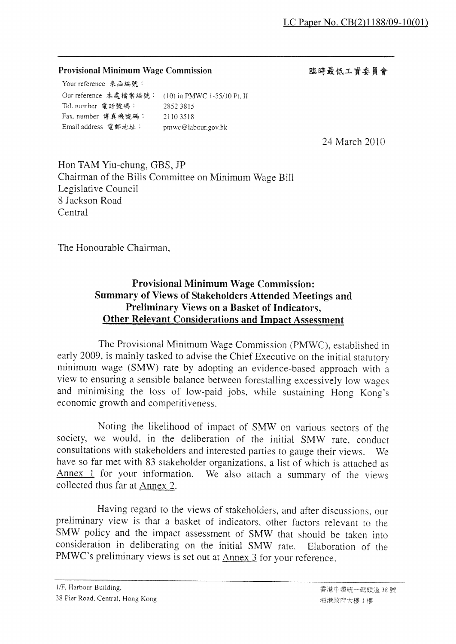#### **Provisional Minimum Wage Commission**

臨時最低工資委員會

Your reference 來函編號: Our reference 本處擋案編號: (10) in PMWC 1-55/10 Pt. II Tel. number 電話號碼: 2852 3815 Fax. number 傳真機號碼: 2110 3518 Email address 電郵地址: pmwc@labour.gov.hk

24 March 2010

Hon TAM Yiu-chung, GBS, JP Chairman of the Bills Committee on Minimum Wage Bill Legislative Council 8 Jackson Road Central

The Honourable Chairman.

# **Provisional Minimum Wage Commission: Summary of Views of Stakeholders Attended Meetings and** Preliminary Views on a Basket of Indicators, **Other Relevant Considerations and Impact Assessment**

The Provisional Minimum Wage Commission (PMWC), established in early 2009, is mainly tasked to advise the Chief Executive on the initial statutory minimum wage (SMW) rate by adopting an evidence-based approach with a view to ensuring a sensible balance between forestalling excessively low wages and minimising the loss of low-paid jobs, while sustaining Hong Kong's economic growth and competitiveness.

Noting the likelihood of impact of SMW on various sectors of the society, we would, in the deliberation of the initial SMW rate, conduct consultations with stakeholders and interested parties to gauge their views. - We have so far met with 83 stakeholder organizations, a list of which is attached as Annex 1 for your information. We also attach a summary of the views collected thus far at Annex 2.

Having regard to the views of stakeholders, and after discussions, our preliminary view is that a basket of indicators, other factors relevant to the SMW policy and the impact assessment of SMW that should be taken into consideration in deliberating on the initial SMW rate. Elaboration of the PMWC's preliminary views is set out at Annex 3 for your reference.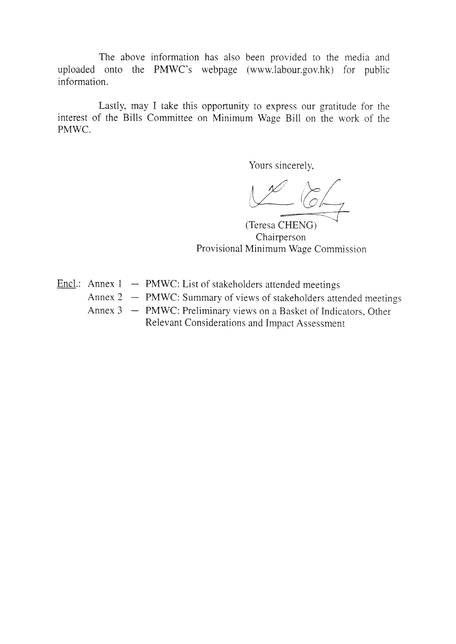The above information has also been provided to the media and uploaded onto the PMWC's webpage (www.labour.gov.hk) for public information.

Lastly, may I take this opportunity to express our gratitude for the interest of the Bills Committee on Minimum Wage Bill on the work of the PMWC.

Yours sincerely,

(Teresa CHENG) Chairperson Provisional Minimum Wage Commission

- Encl.: Annex  $1 PMWC$ : List of stakeholders attended meetings
	- Annex 2 PMWC: Summary of views of stakeholders attended meetings
	- Annex 3 PMWC: Preliminary views on a Basket of Indicators, Other Relevant Considerations and Impact Assessment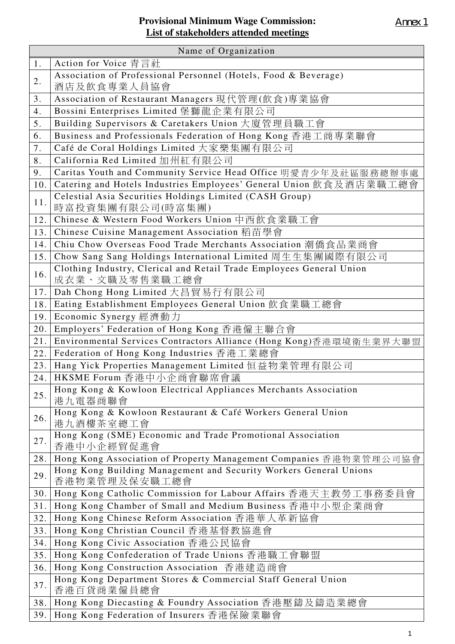| Name of Organization |                                                                                        |  |
|----------------------|----------------------------------------------------------------------------------------|--|
| 1.                   | Action for Voice 青言社                                                                   |  |
| 2.                   | Association of Professional Personnel (Hotels, Food & Beverage)<br>酒店及飲食專業人員協會         |  |
| 3.                   | Association of Restaurant Managers 現代管理(飲食)專業協會                                        |  |
| 4.                   | Bossini Enterprises Limited 堡獅龍企業有限公司                                                  |  |
| 5.                   | Building Supervisors & Caretakers Union 大廈管理員職工會                                       |  |
| 6.                   | Business and Professionals Federation of Hong Kong 香港工商專業聯會                            |  |
| 7.                   | Café de Coral Holdings Limited 大家樂集團有限公司                                               |  |
| 8.                   | California Red Limited 加州紅有限公司                                                         |  |
| 9.                   | Caritas Youth and Community Service Head Office 明愛青少年及社區服務總辦事處                         |  |
| 10.                  | Catering and Hotels Industries Employees' General Union 飲食及酒店業職工總會                     |  |
| 11.                  | Celestial Asia Securities Holdings Limited (CASH Group)<br>時富投資集團有限公司(時富集團)            |  |
| 12.                  | Chinese & Western Food Workers Union 中西飲食業職工會                                          |  |
| 13.                  | Chinese Cuisine Management Association 稻苗學會                                            |  |
| 14.                  | Chiu Chow Overseas Food Trade Merchants Association 潮僑食品業商會                            |  |
| 15.                  | Chow Sang Sang Holdings International Limited 周生生集團國際有限公司                              |  |
| 16.                  | Clothing Industry, Clerical and Retail Trade Employees General Union<br>成衣業、文職及零售業職工總會 |  |
| 17.                  | Dah Chong Hong Limited 大昌貿易行有限公司                                                       |  |
| 18.                  | Eating Establishment Employees General Union 飲食業職工總會                                   |  |
| 19.                  | Economic Synergy 經濟動力                                                                  |  |
| 20.                  | Employers' Federation of Hong Kong 香港僱主聯合會                                             |  |
| 21.                  | Environmental Services Contractors Alliance (Hong Kong)香港環境衛生業界大聯盟                     |  |
| 22.                  | Federation of Hong Kong Industries 香港工業總會                                              |  |
| 23.                  | Hang Yick Properties Management Limited 恒益物業管理有限公司                                     |  |
| 24.                  | HKSME Forum 香港中小企商會聯席會議                                                                |  |
| 25.                  | Hong Kong & Kowloon Electrical Appliances Merchants Association<br>港九電器商聯會             |  |
| 26.                  | Hong Kong & Kowloon Restaurant & Café Workers General Union<br>港九酒樓茶室總工會               |  |
| 27.                  | Hong Kong (SME) Economic and Trade Promotional Association<br>香港中小企經貿促進會               |  |
| 28.                  | Hong Kong Association of Property Management Companies 香港物業管理公司協會                      |  |
| 29.                  | Hong Kong Building Management and Security Workers General Unions<br>香港物業管理及保安職工總會     |  |
| 30.                  | Hong Kong Catholic Commission for Labour Affairs 香港天主教勞工事務委員會                          |  |
| 31.                  | Hong Kong Chamber of Small and Medium Business 香港中小型企業商會                               |  |
| 32.                  | Hong Kong Chinese Reform Association 香港華人革新協會                                          |  |
| 33.                  | Hong Kong Christian Council 香港基督教協進會                                                   |  |
| 34.                  | Hong Kong Civic Association 香港公民協會                                                     |  |
| 35.                  | Hong Kong Confederation of Trade Unions 香港職工會聯盟                                        |  |
| 36.                  | Hong Kong Construction Association 香港建造商會                                              |  |
| 37.                  | Hong Kong Department Stores & Commercial Staff General Union<br>香港百貨商業僱員總會             |  |
| 38.                  | Hong Kong Diecasting & Foundry Association 香港壓鑄及鑄造業總會                                  |  |
| 39.                  | Hong Kong Federation of Insurers 香港保險業聯會                                               |  |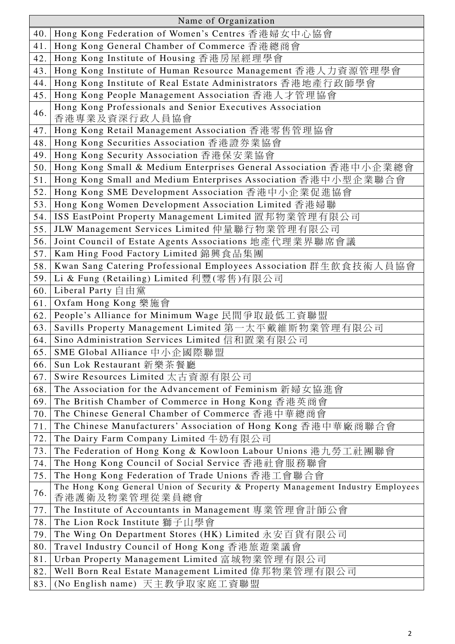| Name of Organization |                                                                                                                                      |  |
|----------------------|--------------------------------------------------------------------------------------------------------------------------------------|--|
| 40.                  | Hong Kong Federation of Women's Centres 香港婦女中心協會                                                                                     |  |
| 41.                  | Hong Kong General Chamber of Commerce 香港總商會                                                                                          |  |
| 42.                  | Hong Kong Institute of Housing 香港房屋經理學會                                                                                              |  |
| 43.                  | Hong Kong Institute of Human Resource Management 香港人力資源管理學會                                                                          |  |
| 44.                  | Hong Kong Institute of Real Estate Administrators 香港地產行政師學會                                                                          |  |
| 45.                  | Hong Kong People Management Association 香港人才管理協會                                                                                     |  |
|                      | Hong Kong Professionals and Senior Executives Association                                                                            |  |
| 46.                  | 香港專業及資深行政人員協會                                                                                                                        |  |
| 47.                  | Hong Kong Retail Management Association 香港零售管理協會                                                                                     |  |
| 48.                  | Hong Kong Securities Association 香港證券業協會                                                                                             |  |
| 49.                  | Hong Kong Security Association 香港保安業協會                                                                                               |  |
| 50.                  | Hong Kong Small & Medium Enterprises General Association 香港中小企業總會                                                                    |  |
| 51.                  | Hong Kong Small and Medium Enterprises Association 香港中小型企業聯合會                                                                        |  |
| 52.                  | Hong Kong SME Development Association 香港中小企業促進協會                                                                                     |  |
| 53.                  | Hong Kong Women Development Association Limited 香港婦聯                                                                                 |  |
| 54.                  | ISS EastPoint Property Management Limited 置邦物業管理有限公司                                                                                 |  |
| 55.                  | JLW Management Services Limited 仲量聯行物業管理有限公司                                                                                         |  |
| 56.                  | Joint Council of Estate Agents Associations 地產代理業界聯席會議                                                                               |  |
| 57.                  | Kam Hing Food Factory Limited 錦興食品集團                                                                                                 |  |
| 58.                  | Kwan Sang Catering Professional Employees Association 群生飲食技術人員協會                                                                     |  |
| 59.                  | Li & Fung (Retailing) Limited 利豐(零售)有限公司                                                                                             |  |
| 60.                  | Liberal Party 自由黨                                                                                                                    |  |
| 61.                  | Oxfam Hong Kong 樂施會                                                                                                                  |  |
| 62.                  | People's Alliance for Minimum Wage 民間爭取最低工資聯盟                                                                                        |  |
| 63.                  | Savills Property Management Limited 第一太平戴維斯物業管理有限公司                                                                                  |  |
| 64.                  | Sino Administration Services Limited 信和置業有限公司                                                                                        |  |
| 65.                  | SME Global Alliance 中小企國際聯盟                                                                                                          |  |
| 66.                  | Sun Lok Restaurant 新樂茶餐廳                                                                                                             |  |
| 67.                  | Swire Resources Limited 太古資源有限公司                                                                                                     |  |
| 68.                  | The Association for the Advancement of Feminism 新婦女協進會                                                                               |  |
| 69.                  | The British Chamber of Commerce in Hong Kong 香港英商會                                                                                   |  |
| 70.                  | The Chinese General Chamber of Commerce 香港中華總商會                                                                                      |  |
| 71.                  | The Chinese Manufacturers' Association of Hong Kong 香港中華廠商聯合會                                                                        |  |
| 72.                  | The Dairy Farm Company Limited 牛奶有限公司                                                                                                |  |
| 73.                  | The Federation of Hong Kong & Kowloon Labour Unions 港九勞工社團聯會                                                                         |  |
| 74.                  | The Hong Kong Council of Social Service 香港社會服務聯會                                                                                     |  |
| 75.                  | The Hong Kong Federation of Trade Unions 香港工會聯合會<br>The Hong Kong General Union of Security & Property Management Industry Employees |  |
| 76.                  | 香港護衛及物業管理從業員總會                                                                                                                       |  |
| 77.                  | The Institute of Accountants in Management 專業管理會計師公會                                                                                 |  |
| 78.                  | The Lion Rock Institute 獅子山學會                                                                                                        |  |
| 79.                  | The Wing On Department Stores (HK) Limited 永安百貨有限公司                                                                                  |  |
| 80.                  | Travel Industry Council of Hong Kong 香港旅遊業議會                                                                                         |  |
| 81.                  | Urban Property Management Limited 富城物業管理有限公司                                                                                         |  |
| 82.                  | Well Born Real Estate Management Limited 偉邦物業管理有限公司                                                                                  |  |
| 83.                  | (No English name) 天主教爭取家庭工資聯盟                                                                                                        |  |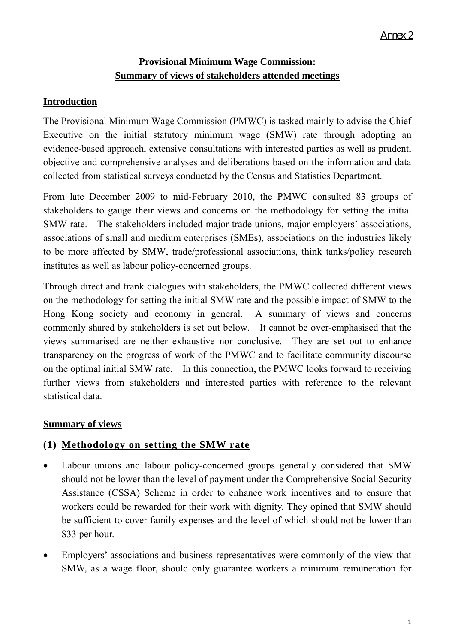# **Provisional Minimum Wage Commission: Summary of views of stakeholders attended meetings**

# **Introduction**

The Provisional Minimum Wage Commission (PMWC) is tasked mainly to advise the Chief Executive on the initial statutory minimum wage (SMW) rate through adopting an evidence-based approach, extensive consultations with interested parties as well as prudent, objective and comprehensive analyses and deliberations based on the information and data collected from statistical surveys conducted by the Census and Statistics Department.

From late December 2009 to mid-February 2010, the PMWC consulted 83 groups of stakeholders to gauge their views and concerns on the methodology for setting the initial SMW rate. The stakeholders included major trade unions, major employers' associations, associations of small and medium enterprises (SMEs), associations on the industries likely to be more affected by SMW, trade/professional associations, think tanks/policy research institutes as well as labour policy-concerned groups.

Through direct and frank dialogues with stakeholders, the PMWC collected different views on the methodology for setting the initial SMW rate and the possible impact of SMW to the Hong Kong society and economy in general. A summary of views and concerns commonly shared by stakeholders is set out below. It cannot be over-emphasised that the views summarised are neither exhaustive nor conclusive. They are set out to enhance transparency on the progress of work of the PMWC and to facilitate community discourse on the optimal initial SMW rate. In this connection, the PMWC looks forward to receiving further views from stakeholders and interested parties with reference to the relevant statistical data.

# **Summary of views**

# **(1) Methodology on setting the SMW rate**

- Labour unions and labour policy-concerned groups generally considered that SMW should not be lower than the level of payment under the Comprehensive Social Security Assistance (CSSA) Scheme in order to enhance work incentives and to ensure that workers could be rewarded for their work with dignity. They opined that SMW should be sufficient to cover family expenses and the level of which should not be lower than \$33 per hour.
- Employers' associations and business representatives were commonly of the view that SMW, as a wage floor, should only guarantee workers a minimum remuneration for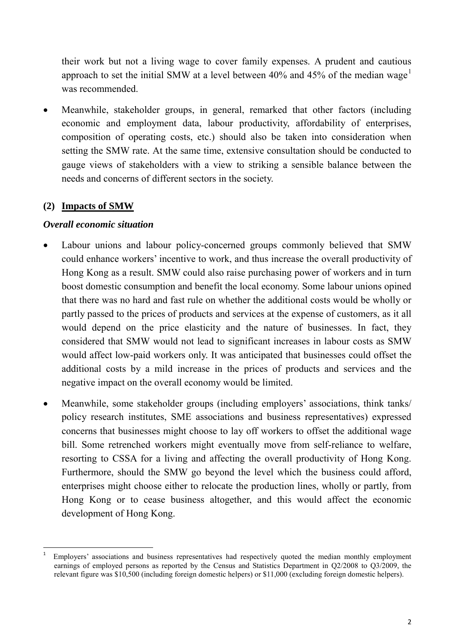their work but not a living wage to cover family expenses. A prudent and cautious approach to set the initial SMW at a level between  $40\%$  and  $45\%$  of the median wage<sup>[1](#page-5-0)</sup> was recommended.

• Meanwhile, stakeholder groups, in general, remarked that other factors (including economic and employment data, labour productivity, affordability of enterprises, composition of operating costs, etc.) should also be taken into consideration when setting the SMW rate. At the same time, extensive consultation should be conducted to gauge views of stakeholders with a view to striking a sensible balance between the needs and concerns of different sectors in the society.

## **(2) Impacts of SMW**

#### *Overall economic situation*

- Labour unions and labour policy-concerned groups commonly believed that SMW could enhance workers' incentive to work, and thus increase the overall productivity of Hong Kong as a result. SMW could also raise purchasing power of workers and in turn boost domestic consumption and benefit the local economy. Some labour unions opined that there was no hard and fast rule on whether the additional costs would be wholly or partly passed to the prices of products and services at the expense of customers, as it all would depend on the price elasticity and the nature of businesses. In fact, they considered that SMW would not lead to significant increases in labour costs as SMW would affect low-paid workers only. It was anticipated that businesses could offset the additional costs by a mild increase in the prices of products and services and the negative impact on the overall economy would be limited.
- Meanwhile, some stakeholder groups (including employers' associations, think tanks/ policy research institutes, SME associations and business representatives) expressed concerns that businesses might choose to lay off workers to offset the additional wage bill. Some retrenched workers might eventually move from self-reliance to welfare, resorting to CSSA for a living and affecting the overall productivity of Hong Kong. Furthermore, should the SMW go beyond the level which the business could afford, enterprises might choose either to relocate the production lines, wholly or partly, from Hong Kong or to cease business altogether, and this would affect the economic development of Hong Kong.

<span id="page-5-0"></span> <sup>1</sup> Employers' associations and business representatives had respectively quoted the median monthly employment earnings of employed persons as reported by the Census and Statistics Department in Q2/2008 to Q3/2009, the relevant figure was \$10,500 (including foreign domestic helpers) or \$11,000 (excluding foreign domestic helpers).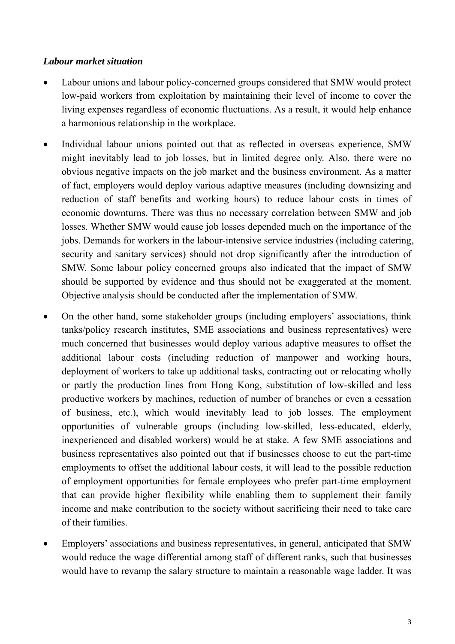#### *Labour market situation*

- Labour unions and labour policy-concerned groups considered that SMW would protect low-paid workers from exploitation by maintaining their level of income to cover the living expenses regardless of economic fluctuations. As a result, it would help enhance a harmonious relationship in the workplace.
- Individual labour unions pointed out that as reflected in overseas experience, SMW might inevitably lead to job losses, but in limited degree only. Also, there were no obvious negative impacts on the job market and the business environment. As a matter of fact, employers would deploy various adaptive measures (including downsizing and reduction of staff benefits and working hours) to reduce labour costs in times of economic downturns. There was thus no necessary correlation between SMW and job losses. Whether SMW would cause job losses depended much on the importance of the jobs. Demands for workers in the labour-intensive service industries (including catering, security and sanitary services) should not drop significantly after the introduction of SMW. Some labour policy concerned groups also indicated that the impact of SMW should be supported by evidence and thus should not be exaggerated at the moment. Objective analysis should be conducted after the implementation of SMW.
- On the other hand, some stakeholder groups (including employers' associations, think tanks/policy research institutes, SME associations and business representatives) were much concerned that businesses would deploy various adaptive measures to offset the additional labour costs (including reduction of manpower and working hours, deployment of workers to take up additional tasks, contracting out or relocating wholly or partly the production lines from Hong Kong, substitution of low-skilled and less productive workers by machines, reduction of number of branches or even a cessation of business, etc.), which would inevitably lead to job losses. The employment opportunities of vulnerable groups (including low-skilled, less-educated, elderly, inexperienced and disabled workers) would be at stake. A few SME associations and business representatives also pointed out that if businesses choose to cut the part-time employments to offset the additional labour costs, it will lead to the possible reduction of employment opportunities for female employees who prefer part-time employment that can provide higher flexibility while enabling them to supplement their family income and make contribution to the society without sacrificing their need to take care of their families.
- Employers' associations and business representatives, in general, anticipated that SMW would reduce the wage differential among staff of different ranks, such that businesses would have to revamp the salary structure to maintain a reasonable wage ladder. It was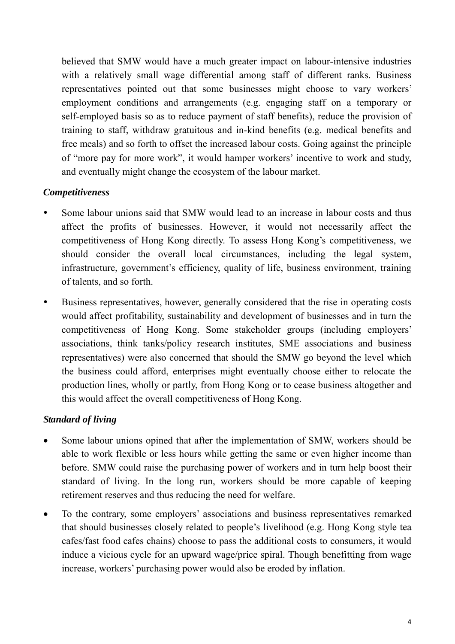believed that SMW would have a much greater impact on labour-intensive industries with a relatively small wage differential among staff of different ranks. Business representatives pointed out that some businesses might choose to vary workers' employment conditions and arrangements (e.g. engaging staff on a temporary or self-employed basis so as to reduce payment of staff benefits), reduce the provision of training to staff, withdraw gratuitous and in-kind benefits (e.g. medical benefits and free meals) and so forth to offset the increased labour costs. Going against the principle of "more pay for more work", it would hamper workers' incentive to work and study, and eventually might change the ecosystem of the labour market.

## *Competitiveness*

- Some labour unions said that SMW would lead to an increase in labour costs and thus affect the profits of businesses. However, it would not necessarily affect the competitiveness of Hong Kong directly. To assess Hong Kong's competitiveness, we should consider the overall local circumstances, including the legal system, infrastructure, government's efficiency, quality of life, business environment, training of talents, and so forth.
- Business representatives, however, generally considered that the rise in operating costs would affect profitability, sustainability and development of businesses and in turn the competitiveness of Hong Kong. Some stakeholder groups (including employers' associations, think tanks/policy research institutes, SME associations and business representatives) were also concerned that should the SMW go beyond the level which the business could afford, enterprises might eventually choose either to relocate the production lines, wholly or partly, from Hong Kong or to cease business altogether and this would affect the overall competitiveness of Hong Kong.

# *Standard of living*

- Some labour unions opined that after the implementation of SMW, workers should be able to work flexible or less hours while getting the same or even higher income than before. SMW could raise the purchasing power of workers and in turn help boost their standard of living. In the long run, workers should be more capable of keeping retirement reserves and thus reducing the need for welfare.
- To the contrary, some employers' associations and business representatives remarked that should businesses closely related to people's livelihood (e.g. Hong Kong style tea cafes/fast food cafes chains) choose to pass the additional costs to consumers, it would induce a vicious cycle for an upward wage/price spiral. Though benefitting from wage increase, workers' purchasing power would also be eroded by inflation.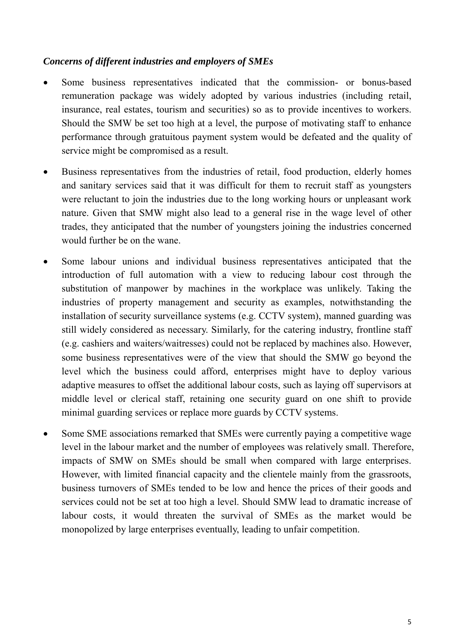#### *Concerns of different industries and employers of SMEs*

- Some business representatives indicated that the commission- or bonus-based remuneration package was widely adopted by various industries (including retail, insurance, real estates, tourism and securities) so as to provide incentives to workers. Should the SMW be set too high at a level, the purpose of motivating staff to enhance performance through gratuitous payment system would be defeated and the quality of service might be compromised as a result.
- Business representatives from the industries of retail, food production, elderly homes and sanitary services said that it was difficult for them to recruit staff as youngsters were reluctant to join the industries due to the long working hours or unpleasant work nature. Given that SMW might also lead to a general rise in the wage level of other trades, they anticipated that the number of youngsters joining the industries concerned would further be on the wane.
- Some labour unions and individual business representatives anticipated that the introduction of full automation with a view to reducing labour cost through the substitution of manpower by machines in the workplace was unlikely. Taking the industries of property management and security as examples, notwithstanding the installation of security surveillance systems (e.g. CCTV system), manned guarding was still widely considered as necessary. Similarly, for the catering industry, frontline staff (e.g. cashiers and waiters/waitresses) could not be replaced by machines also. However, some business representatives were of the view that should the SMW go beyond the level which the business could afford, enterprises might have to deploy various adaptive measures to offset the additional labour costs, such as laying off supervisors at middle level or clerical staff, retaining one security guard on one shift to provide minimal guarding services or replace more guards by CCTV systems.
- Some SME associations remarked that SMEs were currently paying a competitive wage level in the labour market and the number of employees was relatively small. Therefore, impacts of SMW on SMEs should be small when compared with large enterprises. However, with limited financial capacity and the clientele mainly from the grassroots, business turnovers of SMEs tended to be low and hence the prices of their goods and services could not be set at too high a level. Should SMW lead to dramatic increase of labour costs, it would threaten the survival of SMEs as the market would be monopolized by large enterprises eventually, leading to unfair competition.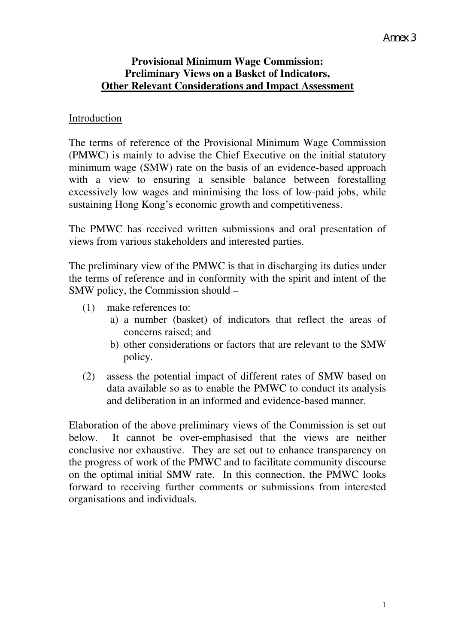# **Provisional Minimum Wage Commission: Preliminary Views on a Basket of Indicators, Other Relevant Considerations and Impact Assessment**

## Introduction

The terms of reference of the Provisional Minimum Wage Commission (PMWC) is mainly to advise the Chief Executive on the initial statutory minimum wage (SMW) rate on the basis of an evidence-based approach with a view to ensuring a sensible balance between forestalling excessively low wages and minimising the loss of low-paid jobs, while sustaining Hong Kong's economic growth and competitiveness.

The PMWC has received written submissions and oral presentation of views from various stakeholders and interested parties.

The preliminary view of the PMWC is that in discharging its duties under the terms of reference and in conformity with the spirit and intent of the SMW policy, the Commission should –

- (1) make references to:
	- a) a number (basket) of indicators that reflect the areas of concerns raised; and
	- b) other considerations or factors that are relevant to the SMW policy.
- (2) assess the potential impact of different rates of SMW based on data available so as to enable the PMWC to conduct its analysis and deliberation in an informed and evidence-based manner.

Elaboration of the above preliminary views of the Commission is set out below. It cannot be over-emphasised that the views are neither conclusive nor exhaustive. They are set out to enhance transparency on the progress of work of the PMWC and to facilitate community discourse on the optimal initial SMW rate. In this connection, the PMWC looks forward to receiving further comments or submissions from interested organisations and individuals.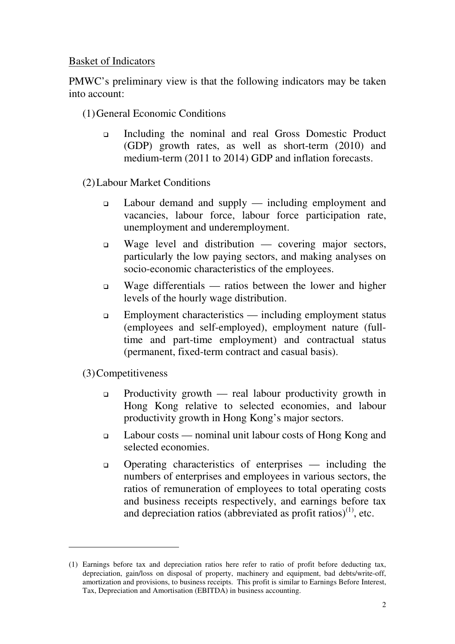## Basket of Indicators

PMWC's preliminary view is that the following indicators may be taken into account:

- (1)General Economic Conditions
	- Including the nominal and real Gross Domestic Product (GDP) growth rates, as well as short-term (2010) and medium-term (2011 to 2014) GDP and inflation forecasts.

(2)Labour Market Conditions

- Labour demand and supply including employment and vacancies, labour force, labour force participation rate, unemployment and underemployment.
- $\Box$  Wage level and distribution covering major sectors, particularly the low paying sectors, and making analyses on socio-economic characteristics of the employees.
- Wage differentials ratios between the lower and higher levels of the hourly wage distribution.
- Employment characteristics including employment status (employees and self-employed), employment nature (fulltime and part-time employment) and contractual status (permanent, fixed-term contract and casual basis).

(3)Competitiveness

 $\overline{a}$ 

- **Productivity growth** real labour productivity growth in Hong Kong relative to selected economies, and labour productivity growth in Hong Kong's major sectors.
- Labour costs nominal unit labour costs of Hong Kong and selected economies.
- Operating characteristics of enterprises including the numbers of enterprises and employees in various sectors, the ratios of remuneration of employees to total operating costs and business receipts respectively, and earnings before tax and depreciation ratios (abbreviated as profit ratios)<sup>(1)</sup>, etc.

<sup>(1)</sup> Earnings before tax and depreciation ratios here refer to ratio of profit before deducting tax, depreciation, gain/loss on disposal of property, machinery and equipment, bad debts/write-off, amortization and provisions, to business receipts. This profit is similar to Earnings Before Interest, Tax, Depreciation and Amortisation (EBITDA) in business accounting.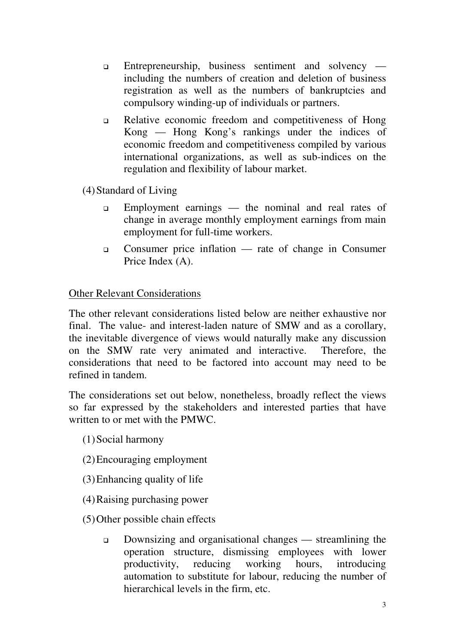- Entrepreneurship, business sentiment and solvency including the numbers of creation and deletion of business registration as well as the numbers of bankruptcies and compulsory winding-up of individuals or partners.
- Relative economic freedom and competitiveness of Hong Kong — Hong Kong's rankings under the indices of economic freedom and competitiveness compiled by various international organizations, as well as sub-indices on the regulation and flexibility of labour market.

(4)Standard of Living

- Employment earnings the nominal and real rates of change in average monthly employment earnings from main employment for full-time workers.
- Consumer price inflation rate of change in Consumer Price Index (A).

# Other Relevant Considerations

The other relevant considerations listed below are neither exhaustive nor final. The value- and interest-laden nature of SMW and as a corollary, the inevitable divergence of views would naturally make any discussion on the SMW rate very animated and interactive. Therefore, the considerations that need to be factored into account may need to be refined in tandem.

The considerations set out below, nonetheless, broadly reflect the views so far expressed by the stakeholders and interested parties that have written to or met with the PMWC.

- (1)Social harmony
- (2)Encouraging employment
- (3)Enhancing quality of life
- (4)Raising purchasing power
- (5)Other possible chain effects
	- Downsizing and organisational changes streamlining the operation structure, dismissing employees with lower productivity, reducing working hours, introducing automation to substitute for labour, reducing the number of hierarchical levels in the firm, etc.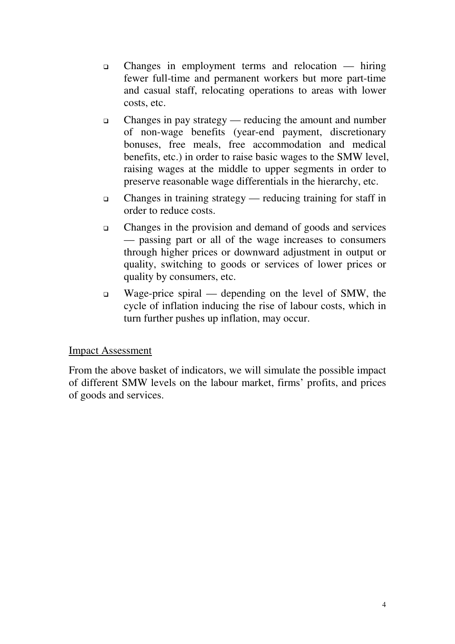- Changes in employment terms and relocation hiring fewer full-time and permanent workers but more part-time and casual staff, relocating operations to areas with lower costs, etc.
- Changes in pay strategy reducing the amount and number of non-wage benefits (year-end payment, discretionary bonuses, free meals, free accommodation and medical benefits, etc.) in order to raise basic wages to the SMW level, raising wages at the middle to upper segments in order to preserve reasonable wage differentials in the hierarchy, etc.
- Changes in training strategy reducing training for staff in order to reduce costs.
- Changes in the provision and demand of goods and services — passing part or all of the wage increases to consumers through higher prices or downward adjustment in output or quality, switching to goods or services of lower prices or quality by consumers, etc.
- Wage-price spiral depending on the level of SMW, the cycle of inflation inducing the rise of labour costs, which in turn further pushes up inflation, may occur.

# Impact Assessment

From the above basket of indicators, we will simulate the possible impact of different SMW levels on the labour market, firms' profits, and prices of goods and services.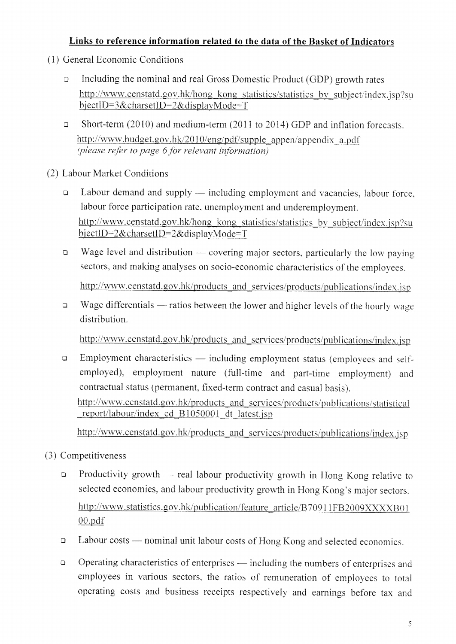# Links to reference information related to the data of the Basket of Indicators

- (1) General Economic Conditions
	- Including the nominal and real Gross Domestic Product (GDP) growth rates  $\Box$ http://www.censtatd.gov.hk/hong\_kong\_statistics/statistics\_by\_subject/index.jsp?su bjectID=3&charsetID=2&displayMode=T
	- Short-term (2010) and medium-term (2011 to 2014) GDP and inflation forecasts.  $\Box$ http://www.budget.gov.hk/2010/eng/pdf/supple appen/appendix a.pdf (please refer to page 6 for relevant information)

(2) Labour Market Conditions

- Labour demand and supply including employment and vacancies, labour force,  $\Box$ labour force participation rate, unemployment and underemployment. http://www.censtatd.gov.hk/hong kong statistics/statistics by subject/index.jsp?su bjectID=2&charsetID=2&displayMode=T
- Wage level and distribution covering major sectors, particularly the low paying  $\Box$ sectors, and making analyses on socio-economic characteristics of the employees.

http://www.censtatd.gov.hk/products and services/products/publications/index.jsp

Wage differentials — ratios between the lower and higher levels of the hourly wage  $\Box$ distribution.

http://www.censtatd.gov.hk/products and services/products/publications/index.jsp

Employment characteristics — including employment status (employees and self- $\Box$ employed), employment nature (full-time and part-time employment) and contractual status (permanent, fixed-term contract and casual basis). http://www.censtatd.gov.hk/products and services/products/publications/statistical report/labour/index cd B1050001 dt latest.jsp

http://www.censtatd.gov.hk/products and services/products/publications/index.jsp

- (3) Competitiveness
	- $\Box$ Productivity growth — real labour productivity growth in Hong Kong relative to selected economies, and labour productivity growth in Hong Kong's major sectors. http://www.statistics.gov.hk/publication/feature\_article/B70911FB2009XXXXB01  $00.pdf$
	- Labour costs nominal unit labour costs of Hong Kong and selected economies.  $\Box$
	- Operating characteristics of enterprises including the numbers of enterprises and  $\Box$ employees in various sectors, the ratios of remuneration of employees to total operating costs and business receipts respectively and earnings before tax and